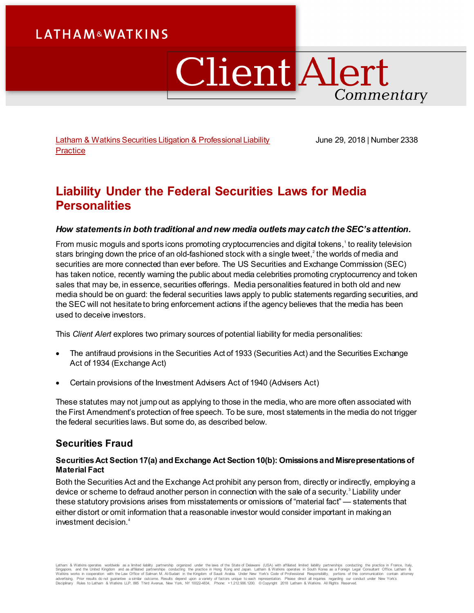# **LATHAM&WATKINS**

# **Client Alert** Commentary

[Latham & Watkins Securities Litigation & Professional Liability](https://www.lw.com/practices/SecuritiesLitigationandProfessionalLiability)  **[Practice](https://www.lw.com/practices/SecuritiesLitigationandProfessionalLiability)** 

June 29, 2018 | Number 2338

## **Liability Under the Federal Securities Laws for Media Personalities**

#### *How statements in both traditional and new media outlets may catch the SEC's attention.*

From music moguls and sports icons promoting cryptocurrencies and digital tokens, $^{\text{!}}$  to reality television stars bringing down the price of an old-fashioned stock with a single tweet, $^2$  $^2$  the worlds of media and securities are more connected than ever before. The US Securities and Exchange Commission (SEC) has taken notice, recently warning the public about media celebrities promoting cryptocurrency and token sales that may be, in essence, securities offerings. Media personalities featured in both old and new media should be on guard: the federal securities laws apply to public statements regarding securities, and the SEC will not hesitate to bring enforcement actions if the agency believes that the media has been used to deceive investors.

This *Client Alert* explores two primary sources of potential liability for media personalities:

- The antifraud provisions in the Securities Act of 1933 (Securities Act) and the Securities Exchange Act of 1934 (Exchange Act)
- Certain provisions of the Investment Advisers Act of 1940 (Advisers Act)

These statutes may not jump out as applying to those in the media, who are more often associated with the First Amendment's protection of free speech. To be sure, most statements in the media do not trigger the federal securities laws. But some do, as described below.

### **Securities Fraud**

#### **Securities Act Section 17(a) and Exchange Act Section 10(b): Omissions and Misrepresentations of Material Fact**

Both the Securities Act and the Exchange Act prohibit any person from, directly or indirectly, employing a device or scheme to defraud another person in connection with the sale of a security.<sup>[3](#page-4-2)</sup> Liability under these statutory provisions arises from misstatements or omissions of "material fact" — statements that either distort or omit information that a reasonable investor would consider important in making an investment decision.[4](#page-4-3)

Latham & Watkins operates wordwide as a limited lability partnership organized under the laws of the State of Delaware (USA) with affiliated limited illability partnerships conducting the practice in Hong Kong and Japan. L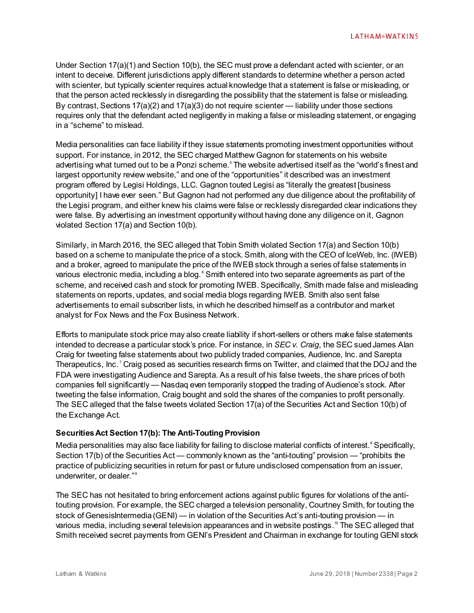Under Section 17(a)(1) and Section 10(b), the SEC must prove a defendant acted with scienter, or an intent to deceive. Different jurisdictions apply different standards to determine whether a person acted with scienter, but typically scienter requires actual knowledge that a statement is false or misleading, or that the person acted recklessly in disregarding the possibility that the statement is false or misleading. By contrast, Sections 17(a)(2) and 17(a)(3) do not require scienter — liability under those sections requires only that the defendant acted negligently in making a false or misleading statement, or engaging in a "scheme" to mislead.

Media personalities can face liability if they issue statements promoting investment opportunities without support. For instance, in 2012, the SEC charged Matthew Gagnon for statements on his website advertising what turned out to be a Ponzi scheme.<sup>[5](#page-4-4)</sup> The website advertised itself as the "world's finest and largest opportunity review website," and one of the "opportunities" it described was an investment program offered by Legisi Holdings, LLC. Gagnon touted Legisi as "literally the greatest [business opportunity] I have ever seen." But Gagnon had not performed any due diligence about the profitability of the Legisi program, and either knew his claims were false or recklessly disregarded clear indications they were false. By advertising an investment opportunity without having done any diligence on it, Gagnon violated Section 17(a) and Section 10(b).

Similarly, in March 2016, the SEC alleged that Tobin Smith violated Section 17(a) and Section 10(b) based on a scheme to manipulate the price of a stock. Smith, along with the CEO of IceWeb, Inc. (IWEB) and a broker, agreed to manipulate the price of the IWEB stock through a series of false statements in various electronic media, including a blog. $^\circ$  Smith entered into two separate agreements as part of the scheme, and received cash and stock for promoting IWEB. Specifically, Smith made false and misleading statements on reports, updates, and social media blogs regarding IWEB. Smith also sent false advertisements to email subscriber lists, in which he described himself as a contributor and market analyst for Fox News and the Fox Business Network.

Efforts to manipulate stock price may also create liability if short-sellers or others make false statements intended to decrease a particular stock's price. For instance, in *SEC v. Craig*, the SEC sued James Alan Craig for tweeting false statements about two publicly traded companies, Audience, Inc. and Sarepta Therapeutics, Inc.<sup>[7](#page-5-1)</sup> Craig posed as securities research firms on Twitter, and claimed that the DOJ and the FDA were investigating Audience and Sarepta. As a result of his false tweets, the share prices of both companies fell significantly — Nasdaq even temporarily stopped the trading of Audience's stock. After tweeting the false information, Craig bought and sold the shares of the companies to profit personally. The SEC alleged that the false tweets violated Section 17(a) of the Securities Act and Section 10(b) of the Exchange Act.

#### **Securities Act Section 17(b): The Anti-Touting Provision**

Media personalities may also face liability for failing to disclose material conflicts of interest.<sup>8</sup> Specifically, Section 17(b) of the Securities Act — commonly known as the "anti-touting" provision — "prohibits the practice of publicizing securities in return for past or future undisclosed compensation from an issuer, underwriter, or dealer."<sup>[9](#page-5-3)</sup>

The SEC has not hesitated to bring enforcement actions against public figures for violations of the antitouting provision. For example, the SEC charged a television personality, Courtney Smith, for touting the stock of GenesisIntermedia (GENI) — in violation of the Securities Act's anti-touting provision — in various media, including several television appearances and in website postings.<sup>[10](#page-5-4)</sup> The SEC alleged that Smith received secret payments from GENI's President and Chairman in exchange for touting GENI stock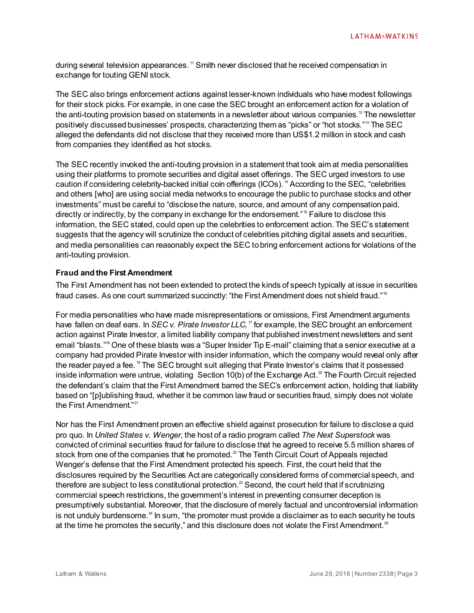during several television appearances. <sup>[11](#page-5-5)</sup> Smith never disclosed that he received compensation in exchange for touting GENI stock.

The SEC also brings enforcement actions against lesser-known individuals who have modest followings for their stock picks. For example, in one case the SEC brought an enforcement action for a violation of the anti-touting provision based on statements in a newsletter about various companies. $^{\rm 12}$  $^{\rm 12}$  $^{\rm 12}$  The newsletter positively discussed businesses' prospects, characterizing them as "picks" or "hot stocks."<sup>[13](#page-5-7)</sup> The SEC alleged the defendants did not disclose that they received more than US\$1.2 million in stock and cash from companies they identified as hot stocks.

The SEC recently invoked the anti-touting provision in a statement that took aim at media personalities using their platforms to promote securities and digital asset offerings. The SEC urged investors to use caution if considering celebrity-backed initial coin offerings (ICOs). [14](#page-5-8) According to the SEC, "celebrities and others [who] are using social media networks to encourage the public to purchase stocks and other investments" must be careful to "disclose the nature, source, and amount of any compensation paid, directly or indirectly, by the company in exchange for the endorsement."<sup>[15](#page-5-9)</sup> Failure to disclose this information, the SEC stated, could open up the celebrities to enforcement action. The SEC's statement suggests that the agency will scrutinize the conduct of celebrities pitching digital assets and securities, and media personalities can reasonably expect the SEC to bring enforcement actions for violations of the anti-touting provision.

#### **Fraud and the First Amendment**

The First Amendment has not been extended to protect the kinds of speech typically at issue in securities fraud cases. As one court summarized succinctly: "the First Amendment does not shield fraud."<sup>[16](#page-5-10)</sup>

For media personalities who have made misrepresentations or omissions, First Amendment arguments have fallen on deaf ears. In *SEC v. Pirate Investor LLC*,<sup>[17](#page-5-11)</sup> for example, the SEC brought an enforcement action against Pirate Investor, a limited liability company that published investment newsletters and sent email "blasts.["18](#page-5-12) One of these blasts was a "Super Insider Tip E-mail" claiming that a senior executive at a company had provided Pirate Investor with insider information, which the company would reveal only after the reader payed a fee.<sup>[19](#page-5-13)</sup> The SEC brought suit alleging that Pirate Investor's claims that it possessed inside information were untrue, violating Section 10(b) of the Exchange Act.<sup>[20](#page-5-14)</sup> The Fourth Circuit rejected the defendant's claim that the First Amendment barred the SEC's enforcement action, holding that liability based on "[p]ublishing fraud, whether it be common law fraud or securities fraud, simply does not violate the First Amendment."[21](#page-5-15)

Nor has the First Amendment proven an effective shield against prosecution for failure to disclose a quid pro quo. In *United States v. Wenger*, the host of a radio program called *The Next Superstock* was convicted of criminal securities fraud for failure to disclose that he agreed to receive 5.5 million shares of stock from one of the companies that he promoted.<sup>2</sup> The Tenth Circuit Court of Appeals rejected Wenger's defense that the First Amendment protected his speech. First, the court held that the disclosures required by the Securities Act are categorically considered forms of commercial speech, and therefore are subject to less constitutional protection.<sup>[23](#page-5-17)</sup> Second, the court held that if scrutinizing commercial speech restrictions, the government's interest in preventing consumer deception is presumptively substantial. Moreover, that the disclosure of merely factual and uncontroversial information is not unduly burdensome. $^{24}$  $^{24}$  $^{24}$  In sum, "the promoter must provide a disclaimer as to each security he touts at the time he promotes the security," and this disclosure does not violate the First Amendment.<sup>[25](#page-5-19)</sup>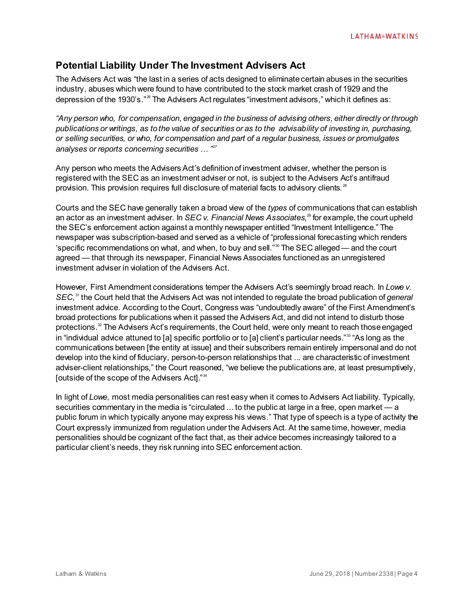## **Potential Liability Under The Investment Advisers Act**

The Advisers Act was "the last in a series of acts designed to eliminate certain abuses in the securities industry, abuses which were found to have contributed to the stock market crash of 1929 and the depression of the 1930's."[26](#page-5-20) The Advisers Act regulates "investment advisors," which it defines as:

*"Any person who, for compensation, engaged in the business of advising others, either directly or through publications or writings, as to the value of securities or as to the advisability of investing in, purchasing, or selling securities, or who, for compensation and part of a regular business, issues or promulgates analyses or reports concerning securities … "[27](#page-5-21)*

Any person who meets the Advisers Act's definition of investment adviser, whether the person is registered with the SEC as an investment adviser or not, is subject to the Advisers Act's antifraud provision. This provision requires full disclosure of material facts to advisory clients.<sup>[28](#page-5-22)</sup>

Courts and the SEC have generally taken a broad view of the *types* of communications that can establish an actor as an investment adviser. In *SEC v. Financial News Associates*,<sup>[29](#page-5-23)</sup> for example, the court upheld the SEC's enforcement action against a monthly newspaper entitled "Investment Intelligence." The newspaper was subscription-based and served as a vehicle of "professional forecasting which renders 'specific recommendations on what, and when, to buy and sell."<sup>[30](#page-5-24)</sup> The SEC alleged — and the court agreed — that through its newspaper, Financial News Associates functioned as an unregistered investment adviser in violation of the Advisers Act.

However, First Amendment considerations temper the Advisers Act's seemingly broad reach. In *Lowe v. SEC*, [31](#page-5-25) the Court held that the Advisers Act was not intended to regulate the broad publication of *general*  investment advice. According to the Court, Congress was "undoubtedly aware" of the First Amendment's broad protections for publications when it passed the Advisers Act, and did not intend to disturb those protections.<sup>32</sup> The Advisers Act's requirements, the Court held, were only meant to reach those engaged in "individual advice attuned to [a] specific portfolio or to [a] client's particular needs."<sup>[33](#page-5-27)</sup> "As long as the communications between [the entity at issue] and their subscribers remain entirely impersonal and do not develop into the kind of fiduciary, person-to-person relationships that ... are characteristic of investment adviser-client relationships," the Court reasoned, "we believe the publications are, at least presumptively, [outside of the scope of the Advisers Act]."[34](#page-5-28)

In light of *Lowe*, most media personalities can rest easy when it comes to Advisers Act liability. Typically, securities commentary in the media is "circulated ... to the public at large in a free, open market — a public forum in which typically anyone may express his views." That type of speech is a type of activity the Court expressly immunized from regulation under the Advisers Act. At the same time, however, media personalities should be cognizant of the fact that, as their advice becomes increasingly tailored to a particular client's needs, they risk running into SEC enforcement action.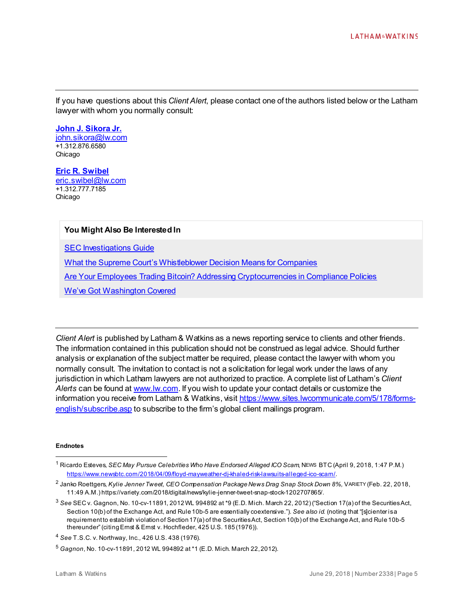If you have questions about this *Client Alert*, please contact one of the authors listed below or the Latham lawyer with whom you normally consult:

**[John J. Sikora Jr.](https://www.lw.com/people/john-sikora)** [john.sikora@lw.com](mailto:john.sikora@lw.com) +1.312.876.6580 Chicago

**[Eric R. Swibel](https://www.lw.com/people/eric-swibel)** [eric.swibel@lw.com](mailto:eric.swibel@lw.com) +1.312.777.7185 Chicago

#### **You Might Also Be Interested In**

[SEC Investigations Guide](https://www.lw.com/thoughtLeadership/SEC-investigations-guide)

[What the Supreme Court's Whistleblower Decision Means for Companies](https://www.lw.com/thoughtLeadership/supreme-court-whistleblower-decision-companies)

**[Are Your Employees Trading Bitcoin? Addressing Cryptocurrencies in Compliance Policies](https://www.lw.com/thoughtLeadership/latham-addressing-cryptocurrencies-in-compliance-policies)** 

[We've Got Washington Covered](https://www.lw.com/practices/wevegotwashingtoncovered)

*Client Alert* is published by Latham & Watkins as a news reporting service to clients and other friends. The information contained in this publication should not be construed as legal advice. Should further analysis or explanation of the subject matter be required, please contact the lawyer with whom you normally consult. The invitation to contact is not a solicitation for legal work under the laws of any jurisdiction in which Latham lawyers are not authorized to practice. A complete list of Latham's *Client Alerts* can be found a[t www.lw.com](http://www.lw.com/). If you wish to update your contact details or customize the information you receive from Latham & Watkins, visi[t https://www.sites.lwcommunicate.com/5/178/forms](https://www.sites.lwcommunicate.com/5/178/forms-english/subscribe.asp)[english/subscribe.asp](https://www.sites.lwcommunicate.com/5/178/forms-english/subscribe.asp) to subscribe to the firm's global client mailings program.

#### **Endnotes**

 $\overline{a}$ 

<span id="page-4-0"></span><sup>1</sup> Ricardo Esteves, *SEC May Pursue Celebrities Who Have Endorsed Alleged ICO Scam*, NEWS BTC (April 9, 2018, 1:47 P.M.) <https://www.newsbtc.com/2018/04/09/floyd-mayweather-dj-khaled-risk-lawsuits-alleged-ico-scam/>.

<span id="page-4-1"></span><sup>&</sup>lt;sup>2</sup> Janko Roettgers, *Kylie Jenner Tweet, CEO Compensation Package News Drag Snap Stock Down 8%, VARIETY (Feb. 22, 2018,* 11:49 A.M.) https://variety.com/2018/digital/news/kylie-jenner-tweet-snap-stock-1202707865/.

<span id="page-4-2"></span><sup>3</sup> *See* SEC v. Gagnon, No. 10-cv-11891, 2012 WL 994892 at \*9 (E.D. Mich. March 22, 2012) ("Section 17(a) of the Securities Act, Section 10(b) of the Exchange Act, and Rule 10b-5 are essentially coextensive."). *See also id.* (noting that "[s]cienter is a requirement to establish violation of Section 17(a) of the Securities Act, Section 10(b) of the Exchange Act, and Rule 10b-5 thereunder" (citing Ernst & Ernst v. Hochfleder, 425 U.S. 185 (1976)).

<span id="page-4-3"></span><sup>4</sup> *See* T.S.C. v. Northway, Inc*.,* 426 U.S. 438 (1976).

<span id="page-4-4"></span><sup>5</sup> *Gagnon*, No. 10-cv-11891, 2012 WL 994892 at \*1 (E.D. Mich. March 22, 2012).